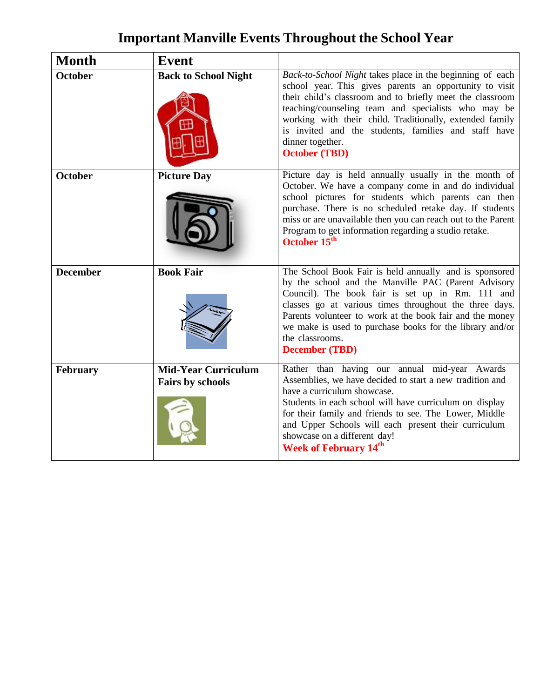## **Important Manville Events Throughout the School Year**

| <b>Month</b>    | <b>Event</b>                                   |                                                                                                                                                                                                                                                                                                                                                                                                          |
|-----------------|------------------------------------------------|----------------------------------------------------------------------------------------------------------------------------------------------------------------------------------------------------------------------------------------------------------------------------------------------------------------------------------------------------------------------------------------------------------|
| <b>October</b>  | <b>Back to School Night</b>                    | Back-to-School Night takes place in the beginning of each<br>school year. This gives parents an opportunity to visit<br>their child's classroom and to briefly meet the classroom<br>teaching/counseling team and specialists who may be<br>working with their child. Traditionally, extended family<br>is invited and the students, families and staff have<br>dinner together.<br><b>October (TBD)</b> |
| <b>October</b>  | <b>Picture Day</b>                             | Picture day is held annually usually in the month of<br>October. We have a company come in and do individual<br>school pictures for students which parents can then<br>purchase. There is no scheduled retake day. If students<br>miss or are unavailable then you can reach out to the Parent<br>Program to get information regarding a studio retake.<br>October 15 <sup>th</sup>                      |
| <b>December</b> | <b>Book Fair</b>                               | The School Book Fair is held annually and is sponsored<br>by the school and the Manville PAC (Parent Advisory<br>Council). The book fair is set up in Rm. 111 and<br>classes go at various times throughout the three days.<br>Parents volunteer to work at the book fair and the money<br>we make is used to purchase books for the library and/or<br>the classrooms.<br><b>December (TBD)</b>          |
| February        | <b>Mid-Year Curriculum</b><br>Fairs by schools | Rather than having our annual mid-year Awards<br>Assemblies, we have decided to start a new tradition and<br>have a curriculum showcase.<br>Students in each school will have curriculum on display<br>for their family and friends to see. The Lower, Middle<br>and Upper Schools will each present their curriculum<br>showcase on a different day!<br><b>Week of February 14th</b>                    |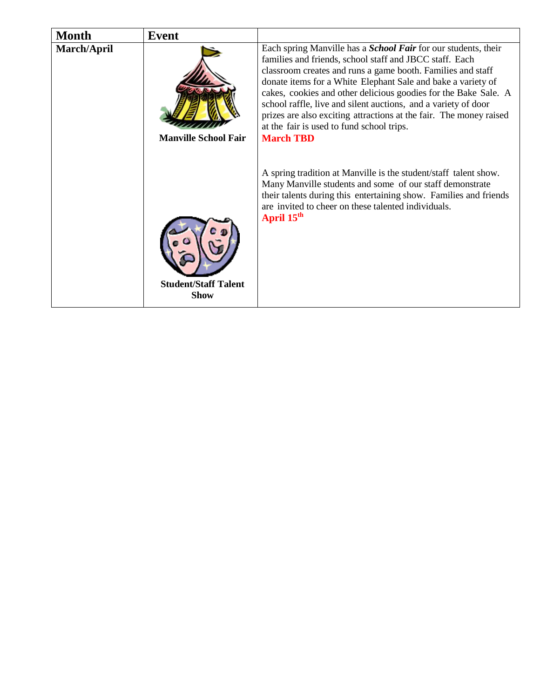| <b>Month</b> | <b>Event</b>                               |                                                                                                                                                                                                                                                                                                                                                                                                                                                                                                                                             |
|--------------|--------------------------------------------|---------------------------------------------------------------------------------------------------------------------------------------------------------------------------------------------------------------------------------------------------------------------------------------------------------------------------------------------------------------------------------------------------------------------------------------------------------------------------------------------------------------------------------------------|
| March/April  | <b>Manville School Fair</b>                | Each spring Manville has a <i>School Fair</i> for our students, their<br>families and friends, school staff and JBCC staff. Each<br>classroom creates and runs a game booth. Families and staff<br>donate items for a White Elephant Sale and bake a variety of<br>cakes, cookies and other delicious goodies for the Bake Sale. A<br>school raffle, live and silent auctions, and a variety of door<br>prizes are also exciting attractions at the fair. The money raised<br>at the fair is used to fund school trips.<br><b>March TBD</b> |
|              | <b>Student/Staff Talent</b><br><b>Show</b> | A spring tradition at Manville is the student/staff talent show.<br>Many Manville students and some of our staff demonstrate<br>their talents during this entertaining show. Families and friends<br>are invited to cheer on these talented individuals.<br>April 15 <sup>th</sup>                                                                                                                                                                                                                                                          |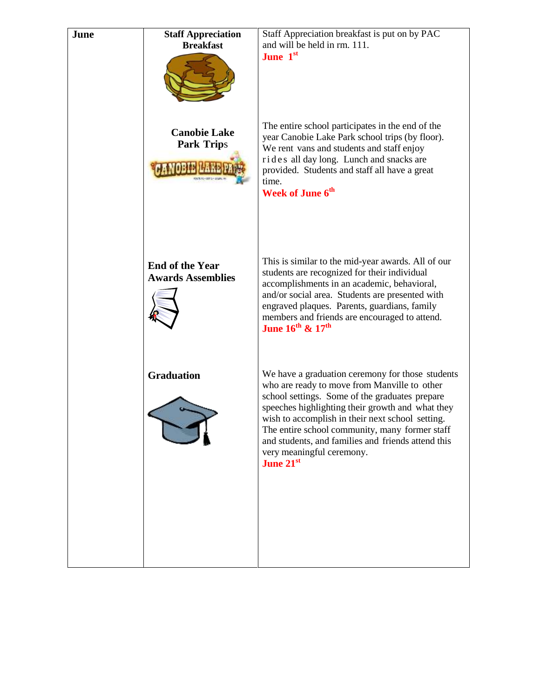